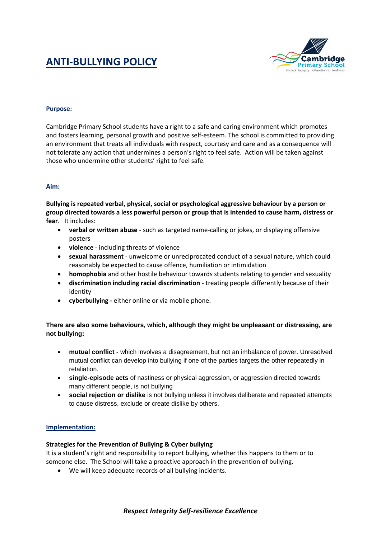# **ANTI-BULLYING POLICY**



## **Purpose:**

Cambridge Primary School students have a right to a safe and caring environment which promotes and fosters learning, personal growth and positive self-esteem. The school is committed to providing an environment that treats all individuals with respect, courtesy and care and as a consequence will not tolerate any action that undermines a person's right to feel safe. Action will be taken against those who undermine other students' right to feel safe.

## **Aim:**

**Bullying is repeated verbal, physical, social or psychological aggressive behaviour by a person or group directed towards a less powerful person or group that is intended to cause harm, distress or fear**. It includes:

- **verbal or written abuse** such as targeted name-calling or jokes, or displaying offensive posters
- **violence** including threats of violence
- **sexual harassment** unwelcome or unreciprocated conduct of a sexual nature, which could reasonably be expected to cause offence, humiliation or intimidation
- **homophobia** and other hostile behaviour towards students relating to gender and sexuality
- **discrimination including racial discrimination** treating people differently because of their identity
- **cyberbullying -** either online or via mobile phone.

# **There are also some behaviours, which, although they might be unpleasant or distressing, are not bullying:**

- **mutual conflict** which involves a disagreement, but not an imbalance of power. Unresolved mutual conflict can develop into bullying if one of the parties targets the other repeatedly in retaliation.
- **single-episode acts** of nastiness or physical aggression, or aggression directed towards many different people, is not bullying
- **social rejection or dislike** is not bullying unless it involves deliberate and repeated attempts to cause distress, exclude or create dislike by others.

## **Implementation:**

## **Strategies for the Prevention of Bullying & Cyber bullying**

It is a student's right and responsibility to report bullying, whether this happens to them or to someone else. The School will take a proactive approach in the prevention of bullying.

We will keep adequate records of all bullying incidents.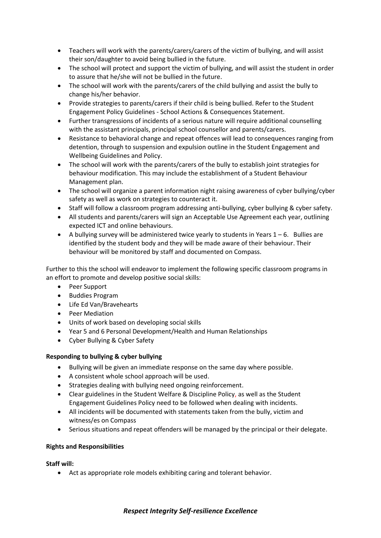- Teachers will work with the parents/carers/carers of the victim of bullying, and will assist their son/daughter to avoid being bullied in the future.
- The school will protect and support the victim of bullying, and will assist the student in order to assure that he/she will not be bullied in the future.
- The school will work with the parents/carers of the child bullying and assist the bully to change his/her behavior.
- Provide strategies to parents/carers if their child is being bullied. Refer to the Student Engagement Policy Guidelines - School Actions & Consequences Statement.
- Further transgressions of incidents of a serious nature will require additional counselling with the assistant principals, principal school counsellor and parents/carers.
- Resistance to behavioral change and repeat offences will lead to consequences ranging from detention, through to suspension and expulsion outline in the Student Engagement and Wellbeing Guidelines and Policy.
- The school will work with the parents/carers of the bully to establish joint strategies for behaviour modification. This may include the establishment of a Student Behaviour Management plan.
- The school will organize a parent information night raising awareness of cyber bullying/cyber safety as well as work on strategies to counteract it.
- Staff will follow a classroom program addressing anti-bullying, cyber bullying & cyber safety.
- All students and parents/carers will sign an Acceptable Use Agreement each year, outlining expected ICT and online behaviours.
- $\bullet$  A bullying survey will be administered twice yearly to students in Years  $1-6$ . Bullies are identified by the student body and they will be made aware of their behaviour. Their behaviour will be monitored by staff and documented on Compass.

Further to this the school will endeavor to implement the following specific classroom programs in an effort to promote and develop positive social skills:

- Peer Support
- Buddies Program
- Life Ed Van/Bravehearts
- Peer Mediation
- Units of work based on developing social skills
- Year 5 and 6 Personal Development/Health and Human Relationships
- Cyber Bullying & Cyber Safety

# **Responding to bullying & cyber bullying**

- Bullying will be given an immediate response on the same day where possible.
- A consistent whole school approach will be used.
- Strategies dealing with bullying need ongoing reinforcement.
- Clear guidelines in the Student Welfare & Discipline Policy, as well as the Student Engagement Guidelines Policy need to be followed when dealing with incidents.
- All incidents will be documented with statements taken from the bully, victim and witness/es on Compass
- Serious situations and repeat offenders will be managed by the principal or their delegate.

## **Rights and Responsibilities**

**Staff will:**

Act as appropriate role models exhibiting caring and tolerant behavior.